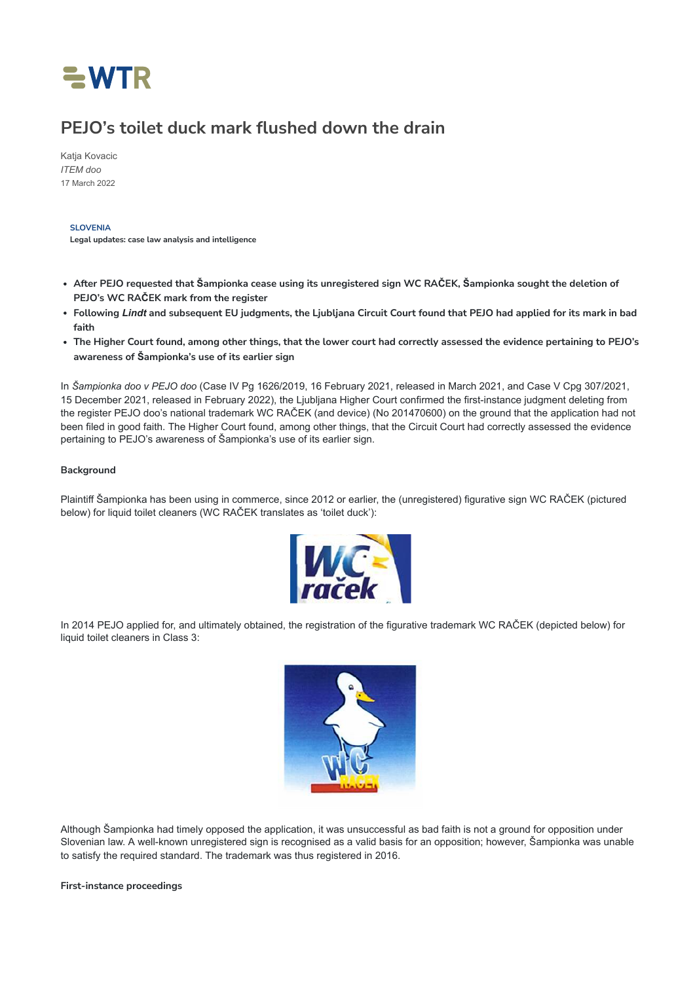

# **PEJO's toilet duck mark flushed down the drain**

[Katja Kovacic](https://www.worldtrademarkreview.com/authors/katja-kovacic) *[ITEM doo](https://www.worldtrademarkreview.com/organisation/item-doo)* 17 March 2022

**SLOVENIA**

**Legal updates: case law analysis and intelligence**

- After PEJO requested that Šampionka cease using its unregistered sign WC RAČEK, Šampionka sought the deletion of **PEJO's WC RAČEK mark from the register**
- Following Lindt and subsequent EU judgments, the Ljubljana Circuit Court found that PEJO had applied for its mark in bad **faith**
- The Higher Court found, among other things, that the lower court had correctly assessed the evidence pertaining to PEJO's **awareness of Šampionka's use of its earlier sign**

In *Šampionka doo v PEJO doo* (Case IV Pg 1626/2019, 16 February 2021, released in March 2021, and Case V Cpg 307/2021, 15 December 2021, released in February 2022), the Ljubljana Higher Court confirmed the first-instance judgment deleting from the register PEJO doo's national trademark WC RAČEK (and device) (No 201470600) on the ground that the application had not been filed in good faith. The Higher Court found, among other things, that the Circuit Court had correctly assessed the evidence pertaining to PEJO's awareness of Šampionka's use of its earlier sign.

### **Background**

Plaintiff Šampionka has been using in commerce, since 2012 or earlier, the (unregistered) figurative sign WC RAČEK (pictured below) for liquid toilet cleaners (WC RAČEK translates as 'toilet duck'):



In 2014 PEJO applied for, and ultimately obtained, the registration of the figurative trademark WC RAČEK (depicted below) for liquid toilet cleaners in Class 3:



Although Šampionka had timely opposed the application, it was unsuccessful as bad faith is not a ground for opposition under Slovenian law. A well-known unregistered sign is recognised as a valid basis for an opposition; however, Šampionka was unable to satisfy the required standard. The trademark was thus registered in 2016.

**First-instance proceedings**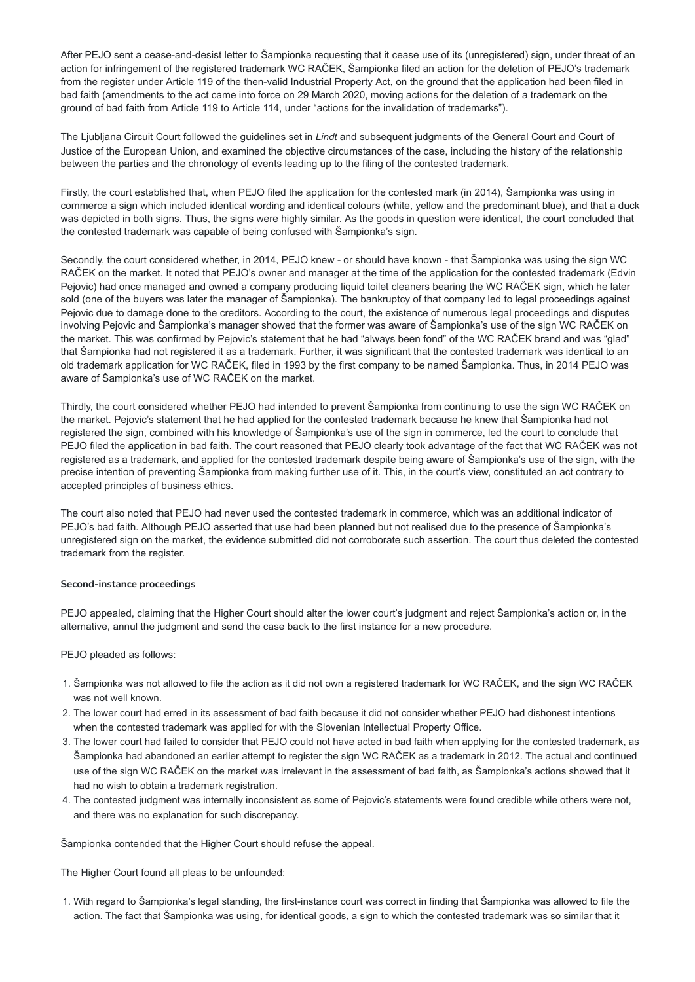After PEJO sent a cease-and-desist letter to Šampionka requesting that it cease use of its (unregistered) sign, under threat of an action for infringement of the registered trademark WC RAČEK, Šampionka filed an action for the deletion of PEJO's trademark from the register under Article 119 of the then-valid Industrial Property Act, on the ground that the application had been filed in bad faith (amendments to the act came into force on 29 March 2020, moving actions for the deletion of a trademark on the ground of bad faith from Article 119 to Article 114, under "actions for the invalidation of trademarks").

The Ljubljana Circuit Court followed the guidelines set in *Lindt* and subsequent judgments of the General Court and Court of Justice of the European Union, and examined the objective circumstances of the case, including the history of the relationship between the parties and the chronology of events leading up to the filing of the contested trademark.

Firstly, the court established that, when PEJO filed the application for the contested mark (in 2014), Šampionka was using in commerce a sign which included identical wording and identical colours (white, yellow and the predominant blue), and that a duck was depicted in both signs. Thus, the signs were highly similar. As the goods in question were identical, the court concluded that the contested trademark was capable of being confused with Šampionka's sign.

Secondly, the court considered whether, in 2014, PEJO knew - or should have known - that Šampionka was using the sign WC RAČEK on the market. It noted that PEJO's owner and manager at the time of the application for the contested trademark (Edvin Pejovic) had once managed and owned a company producing liquid toilet cleaners bearing the WC RAČEK sign, which he later sold (one of the buyers was later the manager of Šampionka). The bankruptcy of that company led to legal proceedings against Pejovic due to damage done to the creditors. According to the court, the existence of numerous legal proceedings and disputes involving Pejovic and Šampionka's manager showed that the former was aware of Šampionka's use of the sign WC RAČEK on the market. This was confirmed by Pejovic's statement that he had "always been fond" of the WC RAČEK brand and was "glad" that Šampionka had not registered it as a trademark. Further, it was significant that the contested trademark was identical to an old trademark application for WC RAČEK, filed in 1993 by the first company to be named Šampionka. Thus, in 2014 PEJO was aware of Šampionka's use of WC RAČEK on the market.

Thirdly, the court considered whether PEJO had intended to prevent Šampionka from continuing to use the sign WC RAČEK on the market. Pejovic's statement that he had applied for the contested trademark because he knew that Šampionka had not registered the sign, combined with his knowledge of Šampionka's use of the sign in commerce, led the court to conclude that PEJO filed the application in bad faith. The court reasoned that PEJO clearly took advantage of the fact that WC RAČEK was not registered as a trademark, and applied for the contested trademark despite being aware of Šampionka's use of the sign, with the precise intention of preventing Šampionka from making further use of it. This, in the court's view, constituted an act contrary to accepted principles of business ethics.

The court also noted that PEJO had never used the contested trademark in commerce, which was an additional indicator of PEJO's bad faith. Although PEJO asserted that use had been planned but not realised due to the presence of Šampionka's unregistered sign on the market, the evidence submitted did not corroborate such assertion. The court thus deleted the contested trademark from the register.

#### **Second-instance proceedings**

PEJO appealed, claiming that the Higher Court should alter the lower court's judgment and reject Šampionka's action or, in the alternative, annul the judgment and send the case back to the first instance for a new procedure.

## PEJO pleaded as follows:

- 1. Šampionka was not allowed to file the action as it did not own a registered trademark for WC RAČEK, and the sign WC RAČEK was not well known.
- 2. The lower court had erred in its assessment of bad faith because it did not consider whether PEJO had dishonest intentions when the contested trademark was applied for with the Slovenian Intellectual Property Office.
- 3. The lower court had failed to consider that PEJO could not have acted in bad faith when applying for the contested trademark, as Šampionka had abandoned an earlier attempt to register the sign WC RAČEK as a trademark in 2012. The actual and continued use of the sign WC RAČEK on the market was irrelevant in the assessment of bad faith, as Šampionka's actions showed that it had no wish to obtain a trademark registration.
- 4. The contested judgment was internally inconsistent as some of Pejovic's statements were found credible while others were not, and there was no explanation for such discrepancy.

Šampionka contended that the Higher Court should refuse the appeal.

The Higher Court found all pleas to be unfounded:

1. With regard to Šampionka's legal standing, the first-instance court was correct in finding that Šampionka was allowed to file the action. The fact that Šampionka was using, for identical goods, a sign to which the contested trademark was so similar that it